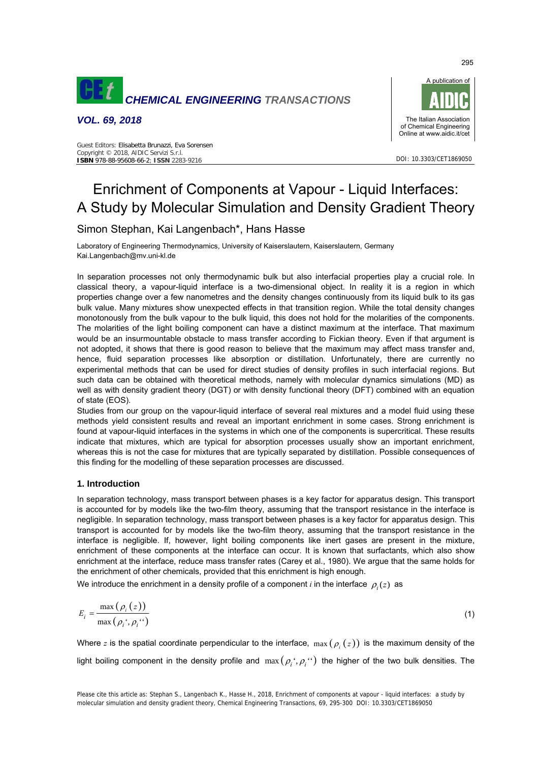

*VOL. 69, 2018* 



DOI: 10.3303/CET1869050

#### Guest Editors: Elisabetta Brunazzi, Eva Sorensen Copyright © 2018, AIDIC Servizi S.r.l. **ISBN** 978-88-95608-66-2; **ISSN** 2283-9216

# Enrichment of Components at Vapour - Liquid Interfaces: A Study by Molecular Simulation and Density Gradient Theory

# Simon Stephan, Kai Langenbach\*, Hans Hasse

Laboratory of Engineering Thermodynamics, University of Kaiserslautern, Kaiserslautern, Germany Kai.Langenbach@mv.uni-kl.de

In separation processes not only thermodynamic bulk but also interfacial properties play a crucial role. In classical theory, a vapour-liquid interface is a two-dimensional object. In reality it is a region in which properties change over a few nanometres and the density changes continuously from its liquid bulk to its gas bulk value. Many mixtures show unexpected effects in that transition region. While the total density changes monotonously from the bulk vapour to the bulk liquid, this does not hold for the molarities of the components. The molarities of the light boiling component can have a distinct maximum at the interface. That maximum would be an insurmountable obstacle to mass transfer according to Fickian theory. Even if that argument is not adopted, it shows that there is good reason to believe that the maximum may affect mass transfer and, hence, fluid separation processes like absorption or distillation. Unfortunately, there are currently no experimental methods that can be used for direct studies of density profiles in such interfacial regions. But such data can be obtained with theoretical methods, namely with molecular dynamics simulations (MD) as well as with density gradient theory (DGT) or with density functional theory (DFT) combined with an equation of state (EOS).

Studies from our group on the vapour-liquid interface of several real mixtures and a model fluid using these methods yield consistent results and reveal an important enrichment in some cases. Strong enrichment is found at vapour-liquid interfaces in the systems in which one of the components is supercritical. These results indicate that mixtures, which are typical for absorption processes usually show an important enrichment, whereas this is not the case for mixtures that are typically separated by distillation. Possible consequences of this finding for the modelling of these separation processes are discussed.

## **1. Introduction**

In separation technology, mass transport between phases is a key factor for apparatus design. This transport is accounted for by models like the two-film theory, assuming that the transport resistance in the interface is negligible. In separation technology, mass transport between phases is a key factor for apparatus design. This transport is accounted for by models like the two-film theory, assuming that the transport resistance in the interface is negligible. If, however, light boiling components like inert gases are present in the mixture, enrichment of these components at the interface can occur. It is known that surfactants, which also show enrichment at the interface, reduce mass transfer rates (Carey et al., 1980). We argue that the same holds for the enrichment of other chemicals, provided that this enrichment is high enough.

We introduce the enrichment in a density profile of a component *i* in the interface  $\rho_i(z)$  as

$$
E_i = \frac{\max\left(\rho_i\left(z\right)\right)}{\max\left(\rho_i^*, \rho_i^{(i)}\right)}\tag{1}
$$

Where *z* is the spatial coordinate perpendicular to the interface,  $\max(\rho(\epsilon))$  is the maximum density of the light boiling component in the density profile and  $\max(\rho_i;\rho_i\cdot\cdot)$  the higher of the two bulk densities. The

295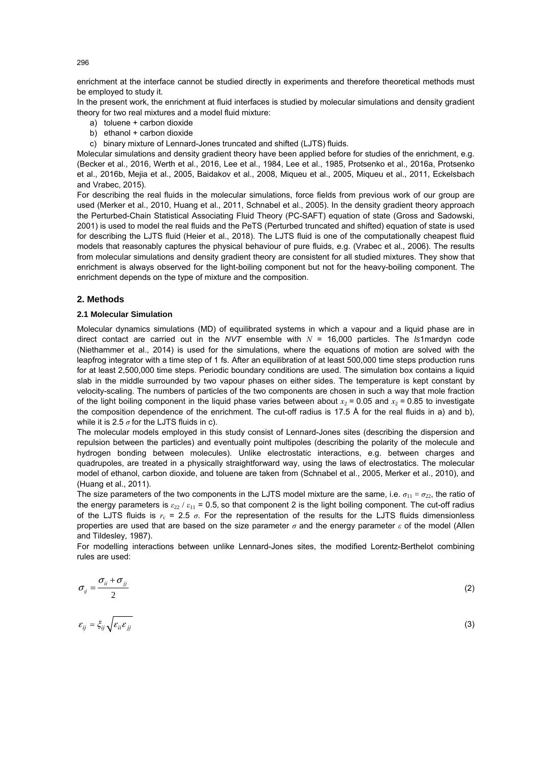enrichment at the interface cannot be studied directly in experiments and therefore theoretical methods must be employed to study it.

In the present work, the enrichment at fluid interfaces is studied by molecular simulations and density gradient theory for two real mixtures and a model fluid mixture:

- a) toluene + carbon dioxide
- b) ethanol + carbon dioxide

c) binary mixture of Lennard-Jones truncated and shifted (LJTS) fluids.

Molecular simulations and density gradient theory have been applied before for studies of the enrichment, e.g. (Becker et al., 2016, Werth et al., 2016, Lee et al., 1984, Lee et al., 1985, Protsenko et al., 2016a, Protsenko et al., 2016b, Mejia et al., 2005, Baidakov et al., 2008, Miqueu et al., 2005, Miqueu et al., 2011, Eckelsbach and Vrabec, 2015).

For describing the real fluids in the molecular simulations, force fields from previous work of our group are used (Merker et al., 2010, Huang et al., 2011, Schnabel et al., 2005). In the density gradient theory approach the Perturbed-Chain Statistical Associating Fluid Theory (PC-SAFT) equation of state (Gross and Sadowski, 2001) is used to model the real fluids and the PeTS (Perturbed truncated and shifted) equation of state is used for describing the LJTS fluid (Heier et al., 2018). The LJTS fluid is one of the computationally cheapest fluid models that reasonably captures the physical behaviour of pure fluids, e.g. (Vrabec et al., 2006). The results from molecular simulations and density gradient theory are consistent for all studied mixtures. They show that enrichment is always observed for the light-boiling component but not for the heavy-boiling component. The enrichment depends on the type of mixture and the composition.

#### **2. Methods**

## **2.1 Molecular Simulation**

Molecular dynamics simulations (MD) of equilibrated systems in which a vapour and a liquid phase are in direct contact are carried out in the *NVT* ensemble with *N* = 16,000 particles. The *ls*1mardyn code (Niethammer et al., 2014) is used for the simulations, where the equations of motion are solved with the leapfrog integrator with a time step of 1 fs. After an equilibration of at least 500,000 time steps production runs for at least 2,500,000 time steps. Periodic boundary conditions are used. The simulation box contains a liquid slab in the middle surrounded by two vapour phases on either sides. The temperature is kept constant by velocity-scaling. The numbers of particles of the two components are chosen in such a way that mole fraction of the light boiling component in the liquid phase varies between about  $x_2 = 0.05$  and  $x_2 = 0.85$  to investigate the composition dependence of the enrichment. The cut-off radius is 17.5 Å for the real fluids in a) and b), while it is 2.5  $\sigma$  for the LJTS fluids in c).

The molecular models employed in this study consist of Lennard-Jones sites (describing the dispersion and repulsion between the particles) and eventually point multipoles (describing the polarity of the molecule and hydrogen bonding between molecules). Unlike electrostatic interactions, e.g. between charges and quadrupoles, are treated in a physically straightforward way, using the laws of electrostatics. The molecular model of ethanol, carbon dioxide, and toluene are taken from (Schnabel et al., 2005, Merker et al., 2010), and (Huang et al., 2011).

The size parameters of the two components in the LJTS model mixture are the same, i.e.  $\sigma_{11} = \sigma_{22}$ , the ratio of the energy parameters is  $\varepsilon_{22}/\varepsilon_{11}$  = 0.5, so that component 2 is the light boiling component. The cut-off radius of the LJTS fluids is  $r_c = 2.5 \sigma$ . For the representation of the results for the LJTS fluids dimensionless properties are used that are based on the size parameter *σ* and the energy parameter *ε* of the model (Allen and Tildesley, 1987).

For modelling interactions between unlike Lennard-Jones sites, the modified Lorentz-Berthelot combining rules are used:

$$
\sigma_{ij} = \frac{\sigma_{ii} + \sigma_{jj}}{2} \tag{2}
$$

$$
\varepsilon_{ij} = \xi_{ij} \sqrt{\varepsilon_{ii} \varepsilon_{jj}}
$$
 (3)

296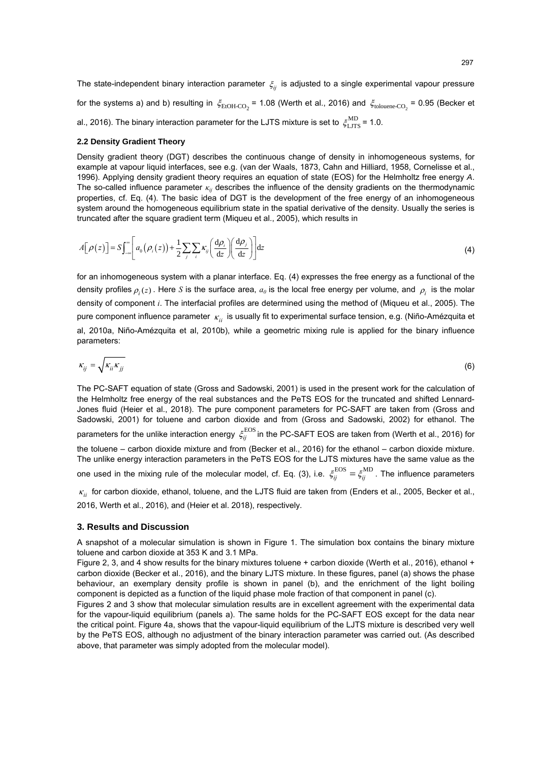The state-independent binary interaction parameter  $\xi_{ii}$  is adjusted to a single experimental vapour pressure for the systems a) and b) resulting in  $\xi_{EtoH-CO_2}$  = 1.08 (Werth et al., 2016) and  $\xi_{\text{tolouene-CO}_2}$  = 0.95 (Becker et al., 2016). The binary interaction parameter for the LJTS mixture is set to  $\zeta_{\rm LITS}^{\rm MD}$  = 1.0.

#### **2.2 Density Gradient Theory**

Density gradient theory (DGT) describes the continuous change of density in inhomogeneous systems, for example at vapour liquid interfaces, see e.g. (van der Waals, 1873, Cahn and Hilliard, 1958, Cornelisse et al., 1996). Applying density gradient theory requires an equation of state (EOS) for the Helmholtz free energy *A*. The so-called influence parameter *κij* describes the influence of the density gradients on the thermodynamic properties, cf. Eq. (4). The basic idea of DGT is the development of the free energy of an inhomogeneous system around the homogeneous equilibrium state in the spatial derivative of the density. Usually the series is truncated after the square gradient term (Miqueu et al., 2005), which results in

$$
A[\rho(z)] = S \int_{-\infty}^{\infty} \left[ a_0(\rho_i(z)) + \frac{1}{2} \sum_j \sum_i \kappa_{ij} \left( \frac{\mathrm{d}\rho_i}{\mathrm{d}z} \right) \left( \frac{\mathrm{d}\rho_j}{\mathrm{d}z} \right) \right] \mathrm{d}z \tag{4}
$$

for an inhomogeneous system with a planar interface. Eq. (4) expresses the free energy as a functional of the density profiles  $\rho_i(z)$ . Here *S* is the surface area,  $a_0$  is the local free energy per volume, and  $\rho_i$  is the molar density of component *i*. The interfacial profiles are determined using the method of (Miqueu et al., 2005). The pure component influence parameter *κ<sub>ii</sub>* is usually fit to experimental surface tension, e.g. (Niño-Amézquita et al, 2010a, Niño-Amézquita et al, 2010b), while a geometric mixing rule is applied for the binary influence parameters:

$$
\kappa_{ij} = \sqrt{\kappa_{ii} \kappa_{jj}} \tag{6}
$$

The PC-SAFT equation of state (Gross and Sadowski, 2001) is used in the present work for the calculation of the Helmholtz free energy of the real substances and the PeTS EOS for the truncated and shifted Lennard-Jones fluid (Heier et al., 2018). The pure component parameters for PC-SAFT are taken from (Gross and Sadowski, 2001) for toluene and carbon dioxide and from (Gross and Sadowski, 2002) for ethanol. The parameters for the unlike interaction energy  $\zeta_{ij}^{\rm EOS}$  in the PC-SAFT EOS are taken from (Werth et al., 2016) for the toluene – carbon dioxide mixture and from (Becker et al., 2016) for the ethanol – carbon dioxide mixture. The unlike energy interaction parameters in the PeTS EOS for the LJTS mixtures have the same value as the one used in the mixing rule of the molecular model, cf. Eq. (3), i.e.  $\xi_{ij}^{\rm EOS}=\xi_{ij}^{\rm MD}$ . The influence parameters *κ*<sub>*ii*</sub> for carbon dioxide, ethanol, toluene, and the LJTS fluid are taken from (Enders et al., 2005, Becker et al.,

2016, Werth et al., 2016), and (Heier et al. 2018), respectively.

#### **3. Results and Discussion**

A snapshot of a molecular simulation is shown in Figure 1. The simulation box contains the binary mixture toluene and carbon dioxide at 353 K and 3.1 MPa.

Figure 2, 3, and 4 show results for the binary mixtures toluene + carbon dioxide (Werth et al., 2016), ethanol + carbon dioxide (Becker et al., 2016), and the binary LJTS mixture. In these figures, panel (a) shows the phase behaviour, an exemplary density profile is shown in panel (b), and the enrichment of the light boiling component is depicted as a function of the liquid phase mole fraction of that component in panel (c).

Figures 2 and 3 show that molecular simulation results are in excellent agreement with the experimental data for the vapour-liquid equilibrium (panels a). The same holds for the PC-SAFT EOS except for the data near the critical point. Figure 4a, shows that the vapour-liquid equilibrium of the LJTS mixture is described very well by the PeTS EOS, although no adjustment of the binary interaction parameter was carried out. (As described above, that parameter was simply adopted from the molecular model).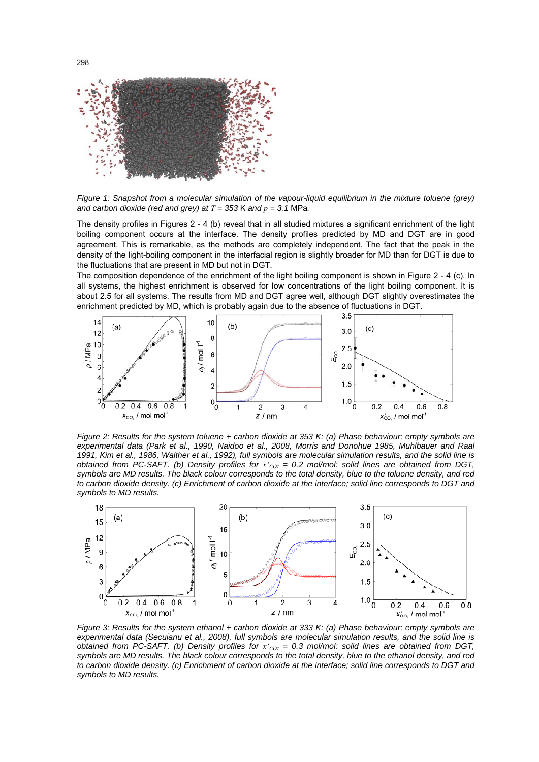

*Figure 1: Snapshot from a molecular simulation of the vapour-liquid equilibrium in the mixture toluene (grey)*  and carbon dioxide (red and grey) at  $T = 353$  K and  $p = 3.1$  MPa.

The density profiles in Figures 2 - 4 (b) reveal that in all studied mixtures a significant enrichment of the light boiling component occurs at the interface. The density profiles predicted by MD and DGT are in good agreement. This is remarkable, as the methods are completely independent. The fact that the peak in the density of the light-boiling component in the interfacial region is slightly broader for MD than for DGT is due to the fluctuations that are present in MD but not in DGT.

The composition dependence of the enrichment of the light boiling component is shown in Figure 2 - 4 (c). In all systems, the highest enrichment is observed for low concentrations of the light boiling component. It is about 2.5 for all systems. The results from MD and DGT agree well, although DGT slightly overestimates the enrichment predicted by MD, which is probably again due to the absence of fluctuations in DGT.



*Figure 2: Results for the system toluene + carbon dioxide at 353 K: (a) Phase behaviour; empty symbols are experimental data (Park et al., 1990, Naidoo et al., 2008, Morris and Donohue 1985, Muhlbauer and Raal 1991, Kim et al., 1986, Walther et al., 1992), full symbols are molecular simulation results, and the solid line is obtained from PC-SAFT. (b) Density profiles for*  $x_{CO2}$  = 0.2 mol/mol: solid lines are obtained from DGT, *symbols are MD results. The black colour corresponds to the total density, blue to the toluene density, and red to carbon dioxide density. (c) Enrichment of carbon dioxide at the interface; solid line corresponds to DGT and symbols to MD results.* 



*Figure 3: Results for the system ethanol + carbon dioxide at 333 K: (a) Phase behaviour; empty symbols are experimental data (Secuianu et al., 2008), full symbols are molecular simulation results, and the solid line is obtained from PC-SAFT. (b) Density profiles for*  $x_{CO2}$  *= 0.3 mol/mol: solid lines are obtained from DGT, symbols are MD results. The black colour corresponds to the total density, blue to the ethanol density, and red to carbon dioxide density. (c) Enrichment of carbon dioxide at the interface; solid line corresponds to DGT and symbols to MD results.*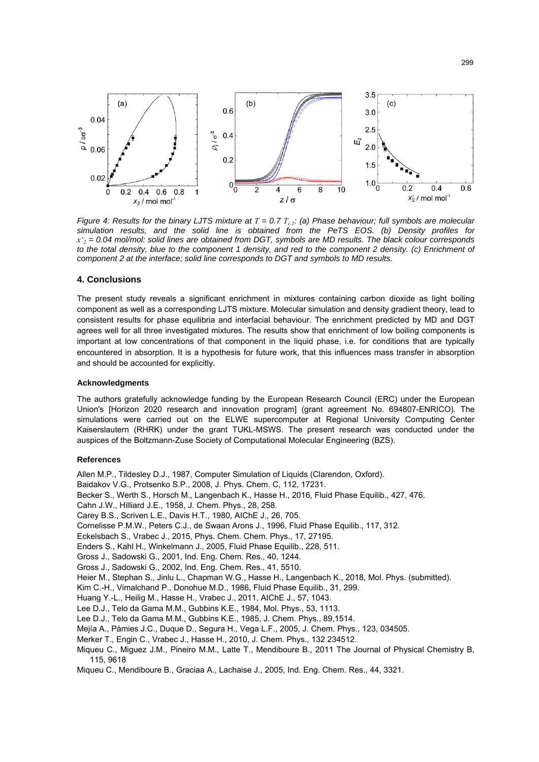

*Figure 4: Results for the binary LJTS mixture at*  $T = 0.7 T_{c1}$ *; (a) Phase behaviour; full symbols are molecular simulation results, and the solid line is obtained from the PeTS EOS. (b) Density profiles for x'2 = 0.04 mol/mol: solid lines are obtained from DGT, symbols are MD results. The black colour corresponds*  to the total density, blue to the component 1 density, and red to the component 2 density. (c) Enrichment of *component 2 at the interface; solid line corresponds to DGT and symbols to MD results.* 

#### **4. Conclusions**

The present study reveals a significant enrichment in mixtures containing carbon dioxide as light boiling component as well as a corresponding LJTS mixture. Molecular simulation and density gradient theory, lead to consistent results for phase equilibria and interfacial behaviour. The enrichment predicted by MD and DGT agrees well for all three investigated mixtures. The results show that enrichment of low boiling components is important at low concentrations of that component in the liquid phase, i.e. for conditions that are typically encountered in absorption. It is a hypothesis for future work, that this influences mass transfer in absorption and should be accounted for explicitly.

#### **Acknowledgments**

The authors gratefully acknowledge funding by the European Research Council (ERC) under the European Union's [Horizon 2020 research and innovation program] (grant agreement No. 694807-ENRICO). The simulations were carried out on the ELWE supercomputer at Regional University Computing Center Kaiserslautern (RHRK) under the grant TUKL-MSWS. The present research was conducted under the auspices of the Boltzmann-Zuse Society of Computational Molecular Engineering (BZS).

#### **References**

Allen M.P., Tildesley D.J., 1987, Computer Simulation of Liquids (Clarendon, Oxford).

Baidakov V.G., Protsenko S.P., 2008, J. Phys. Chem. C, 112, 17231.

- Becker S., Werth S., Horsch M., Langenbach K., Hasse H., 2016, Fluid Phase Equilib., 427, 476.
- Cahn J.W., Hilliard J.E., 1958, J. Chem. Phys., 28, 258.
- Carey B.S., Scriven L.E., Davis H.T., 1980, AIChE J., 26, 705.
- Cornelisse P.M.W., Peters C.J., de Swaan Arons J., 1996, Fluid Phase Equilib., 117, 312.
- Eckelsbach S., Vrabec J., 2015, Phys. Chem. Chem. Phys., 17, 27195.
- Enders S., Kahl H., Winkelmann J., 2005, Fluid Phase Equilib., 228, 511.
- Gross J., Sadowski G., 2001, Ind. Eng. Chem. Res., 40, 1244.
- Gross J., Sadowski G., 2002, Ind. Eng. Chem. Res., 41, 5510.
- Heier M., Stephan S., Jinlu L., Chapman W.G., Hasse H., Langenbach K., 2018, Mol. Phys. (submitted).
- Kim C.-H., Vimalchand P., Donohue M.D., 1986, Fluid Phase Equilib., 31, 299.
- Huang Y.-L., Heilig M., Hasse H., Vrabec J., 2011, AIChE J., 57, 1043.
- Lee D.J., Telo da Gama M.M., Gubbins K.E., 1984, Mol. Phys., 53, 1113.
- Lee D.J., Telo da Gama M.M., Gubbins K.E., 1985, J. Chem. Phys., 89,1514.
- Mejía A., Pàmies J.C., Duque D., Segura H., Vega L.F., 2005, J. Chem. Phys., 123, 034505.
- Merker T., Engin C., Vrabec J., Hasse H., 2010, J. Chem. Phys., 132 234512.
- Miqueu C., Miguez J.M., Pineiro M.M., Latte T., Mendiboure B., 2011 The Journal of Physical Chemistry B, 115, 9618
- Miqueu C., Mendiboure B., Graciaa A., Lachaise J., 2005, Ind. Eng. Chem. Res., 44, 3321.